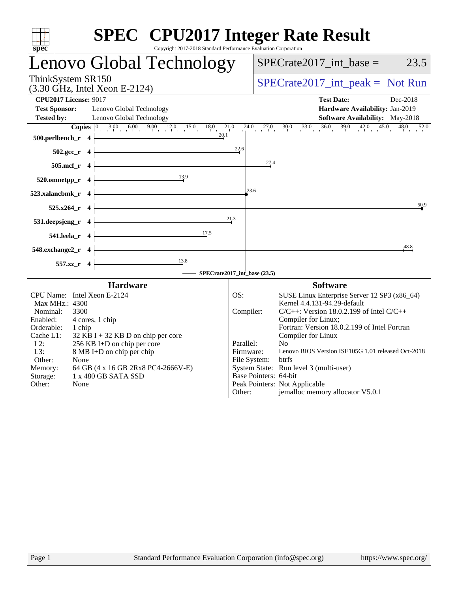| <b>SPEC<sup>®</sup></b> CPU2017 Integer Rate Result<br>spec<br>Copyright 2017-2018 Standard Performance Evaluation Corporation                                                                                                                                                                                                                                                     |                                                                      |                       |                                                                                                                                                                                                                                                                                                                                                                                                                            |                  |
|------------------------------------------------------------------------------------------------------------------------------------------------------------------------------------------------------------------------------------------------------------------------------------------------------------------------------------------------------------------------------------|----------------------------------------------------------------------|-----------------------|----------------------------------------------------------------------------------------------------------------------------------------------------------------------------------------------------------------------------------------------------------------------------------------------------------------------------------------------------------------------------------------------------------------------------|------------------|
| Lenovo Global Technology                                                                                                                                                                                                                                                                                                                                                           |                                                                      |                       | $SPECrate2017\_int\_base =$                                                                                                                                                                                                                                                                                                                                                                                                | 23.5             |
| ThinkSystem SR150<br>$(3.30 \text{ GHz}, \text{Intel Xeon E-2124})$                                                                                                                                                                                                                                                                                                                | $SPECrate2017\_int\_peak = Not Run$                                  |                       |                                                                                                                                                                                                                                                                                                                                                                                                                            |                  |
| <b>CPU2017 License: 9017</b><br><b>Test Sponsor:</b><br>Lenovo Global Technology<br><b>Tested by:</b><br>Lenovo Global Technology                                                                                                                                                                                                                                                  |                                                                      |                       | <b>Test Date:</b><br>Hardware Availability: Jan-2019<br><b>Software Availability:</b> May-2018                                                                                                                                                                                                                                                                                                                             | Dec-2018<br>52.0 |
| <b>Copies</b> $\begin{bmatrix} 0 & 3.00 & 6.00 & 9.00 & 12.0 & 15.0 & 18.0 & 21.0 & 24.0 & 27.0 & 30.0 & 33.0 & 36.0 & 39.0 & 42.0 & 45.0 & 48.0 \ \end{bmatrix}$<br>500.perlbench_r 4                                                                                                                                                                                             |                                                                      |                       |                                                                                                                                                                                                                                                                                                                                                                                                                            |                  |
| $502.\text{sec}_r$ 4                                                                                                                                                                                                                                                                                                                                                               | $\frac{22.6}{4}$                                                     | 27.4                  |                                                                                                                                                                                                                                                                                                                                                                                                                            |                  |
| $505.mcf_r$ 4<br>$\frac{13.9}{2}$                                                                                                                                                                                                                                                                                                                                                  |                                                                      |                       |                                                                                                                                                                                                                                                                                                                                                                                                                            |                  |
| 520.omnetpp_r 4<br><u> 1989 - Johann Stoff, Amerikaansk politiker (</u><br>523.xalancbmk_r 4                                                                                                                                                                                                                                                                                       | 23.6                                                                 |                       |                                                                                                                                                                                                                                                                                                                                                                                                                            |                  |
| 525.x264_r 4                                                                                                                                                                                                                                                                                                                                                                       |                                                                      |                       |                                                                                                                                                                                                                                                                                                                                                                                                                            | 50.9             |
| <u> 1989 - Johann Barn, mars ann an t-Amhain Aonaich an t-Aonaich an t-Aonaich ann an t-Aonaich ann an t-Aonaich</u><br>$531. \text{deepsjeng}_r$ 4                                                                                                                                                                                                                                | 21.3                                                                 |                       |                                                                                                                                                                                                                                                                                                                                                                                                                            |                  |
| $\frac{17.5}{1}$<br>$541.$ leela_r 4                                                                                                                                                                                                                                                                                                                                               |                                                                      |                       |                                                                                                                                                                                                                                                                                                                                                                                                                            |                  |
| $548$ .exchange2_r 4                                                                                                                                                                                                                                                                                                                                                               |                                                                      |                       |                                                                                                                                                                                                                                                                                                                                                                                                                            | 48.8             |
| $\overline{\phantom{1}13.8}$<br>557.xz_r 4<br>SPECrate2017_int_base (23.5)                                                                                                                                                                                                                                                                                                         |                                                                      |                       |                                                                                                                                                                                                                                                                                                                                                                                                                            |                  |
| <b>Hardware</b>                                                                                                                                                                                                                                                                                                                                                                    |                                                                      |                       | <b>Software</b>                                                                                                                                                                                                                                                                                                                                                                                                            |                  |
| CPU Name: Intel Xeon E-2124<br>Max MHz.: 4300<br>Nominal:<br>3300<br>Enabled:<br>4 cores, 1 chip<br>Orderable:<br>1 chip<br>Cache L1:<br>$32$ KB I + 32 KB D on chip per core<br>$L2$ :<br>256 KB I+D on chip per core<br>L3:<br>8 MB I+D on chip per chip<br>Other:<br>None<br>Memory:<br>64 GB (4 x 16 GB 2Rx8 PC4-2666V-E)<br>Storage:<br>1 x 480 GB SATA SSD<br>Other:<br>None | OS:<br>Compiler:<br>Parallel:<br>Firmware:<br>File System:<br>Other: | Base Pointers: 64-bit | SUSE Linux Enterprise Server 12 SP3 (x86_64)<br>Kernel 4.4.131-94.29-default<br>$C/C++$ : Version 18.0.2.199 of Intel $C/C++$<br>Compiler for Linux;<br>Fortran: Version 18.0.2.199 of Intel Fortran<br>Compiler for Linux<br>N <sub>0</sub><br>Lenovo BIOS Version ISE105G 1.01 released Oct-2018<br>btrfs<br>System State: Run level 3 (multi-user)<br>Peak Pointers: Not Applicable<br>jemalloc memory allocator V5.0.1 |                  |
|                                                                                                                                                                                                                                                                                                                                                                                    |                                                                      |                       |                                                                                                                                                                                                                                                                                                                                                                                                                            |                  |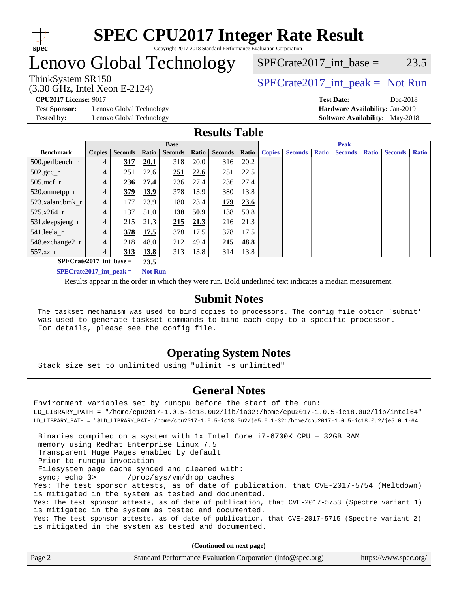

## Lenovo Global Technology

(3.30 GHz, Intel Xeon E-2124)

ThinkSystem SR150<br>  $SPECTI<sub>2</sub>124$ <br>  $SPECTI<sub>2</sub>124$ <br>  $SPECTI<sub>2</sub>124$ <br>  $SPECTI<sub>2</sub>124$  $SPECTate2017\_int\_base = 23.5$ 

**[Test Sponsor:](http://www.spec.org/auto/cpu2017/Docs/result-fields.html#TestSponsor)** Lenovo Global Technology **[Hardware Availability:](http://www.spec.org/auto/cpu2017/Docs/result-fields.html#HardwareAvailability)** Jan-2019

**[CPU2017 License:](http://www.spec.org/auto/cpu2017/Docs/result-fields.html#CPU2017License)** 9017 **[Test Date:](http://www.spec.org/auto/cpu2017/Docs/result-fields.html#TestDate)** Dec-2018 **[Tested by:](http://www.spec.org/auto/cpu2017/Docs/result-fields.html#Testedby)** Lenovo Global Technology **[Software Availability:](http://www.spec.org/auto/cpu2017/Docs/result-fields.html#SoftwareAvailability)** May-2018

### **[Results Table](http://www.spec.org/auto/cpu2017/Docs/result-fields.html#ResultsTable)**

|                                   | <b>Base</b>    |                |                |                | <b>Peak</b> |                |       |               |                |              |                |              |                |              |
|-----------------------------------|----------------|----------------|----------------|----------------|-------------|----------------|-------|---------------|----------------|--------------|----------------|--------------|----------------|--------------|
| <b>Benchmark</b>                  | <b>Copies</b>  | <b>Seconds</b> | Ratio          | <b>Seconds</b> | Ratio       | <b>Seconds</b> | Ratio | <b>Copies</b> | <b>Seconds</b> | <b>Ratio</b> | <b>Seconds</b> | <b>Ratio</b> | <b>Seconds</b> | <b>Ratio</b> |
| 500.perlbench_r                   | 4              | 317            | 20.1           | 318            | 20.0        | 316            | 20.2  |               |                |              |                |              |                |              |
| $502.\text{gcc}$ <sub>r</sub>     | 4              | 251            | 22.6           | 251            | 22.6        | 251            | 22.5  |               |                |              |                |              |                |              |
| $505$ .mcf $r$                    | 4              | 236            | 27.4           | 236            | 27.4        | 236            | 27.4  |               |                |              |                |              |                |              |
| 520.omnetpp_r                     | 4              | 379            | 13.9           | 378            | 13.9        | 380            | 13.8  |               |                |              |                |              |                |              |
| 523.xalancbmk r                   | 4              | 177            | 23.9           | 180            | 23.4        | 179            | 23.6  |               |                |              |                |              |                |              |
| 525.x264 r                        | 4              | 137            | 51.0           | 138            | 50.9        | 138            | 50.8  |               |                |              |                |              |                |              |
| 531.deepsjeng_r                   | 4              | 215            | 21.3           | 215            | 21.3        | 216            | 21.3  |               |                |              |                |              |                |              |
| 541.leela_r                       | $\overline{4}$ | 378            | 17.5           | 378            | 17.5        | 378            | 17.5  |               |                |              |                |              |                |              |
| 548.exchange2_r                   | 4              | 218            | 48.0           | 212            | 49.4        | 215            | 48.8  |               |                |              |                |              |                |              |
| 557.xz                            | 4              | 313            | 13.8           | 313            | 13.8        | 314            | 13.8  |               |                |              |                |              |                |              |
| $SPECrate2017$ int base =<br>23.5 |                |                |                |                |             |                |       |               |                |              |                |              |                |              |
| $SPECrate2017$ int peak =         |                |                | <b>Not Run</b> |                |             |                |       |               |                |              |                |              |                |              |

Results appear in the [order in which they were run](http://www.spec.org/auto/cpu2017/Docs/result-fields.html#RunOrder). Bold underlined text [indicates a median measurement](http://www.spec.org/auto/cpu2017/Docs/result-fields.html#Median).

### **[Submit Notes](http://www.spec.org/auto/cpu2017/Docs/result-fields.html#SubmitNotes)**

 The taskset mechanism was used to bind copies to processors. The config file option 'submit' was used to generate taskset commands to bind each copy to a specific processor. For details, please see the config file.

### **[Operating System Notes](http://www.spec.org/auto/cpu2017/Docs/result-fields.html#OperatingSystemNotes)**

Stack size set to unlimited using "ulimit -s unlimited"

### **[General Notes](http://www.spec.org/auto/cpu2017/Docs/result-fields.html#GeneralNotes)**

Environment variables set by runcpu before the start of the run: LD\_LIBRARY\_PATH = "/home/cpu2017-1.0.5-ic18.0u2/lib/ia32:/home/cpu2017-1.0.5-ic18.0u2/lib/intel64" LD\_LIBRARY\_PATH = "\$LD\_LIBRARY\_PATH:/home/cpu2017-1.0.5-ic18.0u2/je5.0.1-32:/home/cpu2017-1.0.5-ic18.0u2/je5.0.1-64" Binaries compiled on a system with 1x Intel Core i7-6700K CPU + 32GB RAM memory using Redhat Enterprise Linux 7.5 Transparent Huge Pages enabled by default Prior to runcpu invocation Filesystem page cache synced and cleared with: sync; echo 3> /proc/sys/vm/drop\_caches Yes: The test sponsor attests, as of date of publication, that CVE-2017-5754 (Meltdown) is mitigated in the system as tested and documented. Yes: The test sponsor attests, as of date of publication, that CVE-2017-5753 (Spectre variant 1) is mitigated in the system as tested and documented. Yes: The test sponsor attests, as of date of publication, that CVE-2017-5715 (Spectre variant 2) is mitigated in the system as tested and documented.

**(Continued on next page)**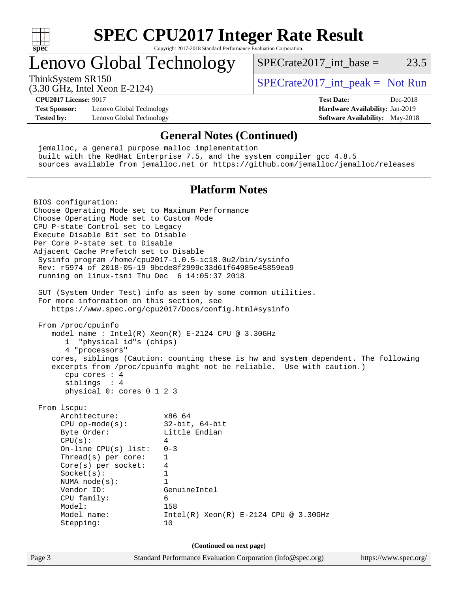

# **[SPEC CPU2017 Integer Rate Result](http://www.spec.org/auto/cpu2017/Docs/result-fields.html#SPECCPU2017IntegerRateResult)**

Copyright 2017-2018 Standard Performance Evaluation Corporation

### Lenovo Global Technology

ThinkSystem SR150<br>  $SPECTI<sub>2</sub>124$ <br>  $SPECTI<sub>2</sub>124$ <br>  $SPECTI<sub>2</sub>124$ <br>  $SPECTI<sub>2</sub>124$ 

SPECrate2017 int\_base =  $23.5$ 

(3.30 GHz, Intel Xeon E-2124) **[CPU2017 License:](http://www.spec.org/auto/cpu2017/Docs/result-fields.html#CPU2017License)** 9017 **[Test Date:](http://www.spec.org/auto/cpu2017/Docs/result-fields.html#TestDate)** Dec-2018

**[Test Sponsor:](http://www.spec.org/auto/cpu2017/Docs/result-fields.html#TestSponsor)** Lenovo Global Technology **[Hardware Availability:](http://www.spec.org/auto/cpu2017/Docs/result-fields.html#HardwareAvailability)** Jan-2019 **[Tested by:](http://www.spec.org/auto/cpu2017/Docs/result-fields.html#Testedby)** Lenovo Global Technology **[Software Availability:](http://www.spec.org/auto/cpu2017/Docs/result-fields.html#SoftwareAvailability)** May-2018

### **[General Notes \(Continued\)](http://www.spec.org/auto/cpu2017/Docs/result-fields.html#GeneralNotes)**

 jemalloc, a general purpose malloc implementation built with the RedHat Enterprise 7.5, and the system compiler gcc 4.8.5 sources available from jemalloc.net or <https://github.com/jemalloc/jemalloc/releases>

#### **[Platform Notes](http://www.spec.org/auto/cpu2017/Docs/result-fields.html#PlatformNotes)**

Page 3 Standard Performance Evaluation Corporation [\(info@spec.org\)](mailto:info@spec.org) <https://www.spec.org/> BIOS configuration: Choose Operating Mode set to Maximum Performance Choose Operating Mode set to Custom Mode CPU P-state Control set to Legacy Execute Disable Bit set to Disable Per Core P-state set to Disable Adjacent Cache Prefetch set to Disable Sysinfo program /home/cpu2017-1.0.5-ic18.0u2/bin/sysinfo Rev: r5974 of 2018-05-19 9bcde8f2999c33d61f64985e45859ea9 running on linux-tsni Thu Dec 6 14:05:37 2018 SUT (System Under Test) info as seen by some common utilities. For more information on this section, see <https://www.spec.org/cpu2017/Docs/config.html#sysinfo> From /proc/cpuinfo model name : Intel(R) Xeon(R) E-2124 CPU @ 3.30GHz 1 "physical id"s (chips) 4 "processors" cores, siblings (Caution: counting these is hw and system dependent. The following excerpts from /proc/cpuinfo might not be reliable. Use with caution.) cpu cores : 4 siblings : 4 physical 0: cores 0 1 2 3 From lscpu: Architecture: x86\_64 CPU op-mode(s): 32-bit, 64-bit Byte Order: Little Endian  $CPU(s):$  4 On-line CPU(s) list: 0-3 Thread(s) per core: 1 Core(s) per socket: 4 Socket(s): 1 NUMA node(s): 1 Vendor ID: GenuineIntel CPU family: 6 Model: 158 Model name: Intel(R) Xeon(R) E-2124 CPU @ 3.30GHz Stepping: 10 **(Continued on next page)**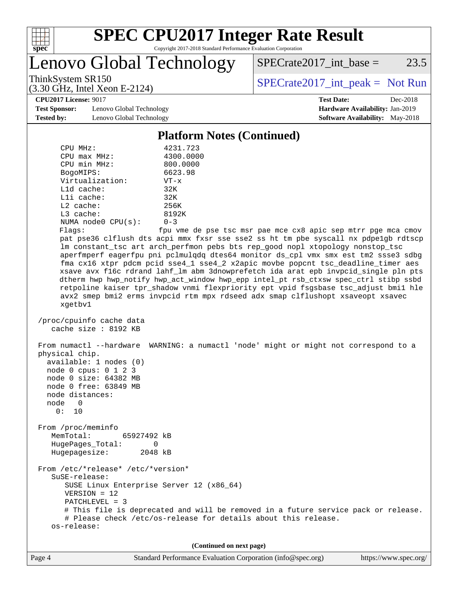

Lenovo Global Technology

 $SPECrate2017\_int\_base = 23.5$ 

(3.30 GHz, Intel Xeon E-2124)

ThinkSystem SR150<br>  $SPECTI<sub>2</sub>124$ <br>  $SPECTI<sub>2</sub>124$ <br>  $SPECTI<sub>2</sub>124$ <br>  $SPECTI<sub>2</sub>124$ 

**[CPU2017 License:](http://www.spec.org/auto/cpu2017/Docs/result-fields.html#CPU2017License)** 9017 **[Test Date:](http://www.spec.org/auto/cpu2017/Docs/result-fields.html#TestDate)** Dec-2018

**[Test Sponsor:](http://www.spec.org/auto/cpu2017/Docs/result-fields.html#TestSponsor)** Lenovo Global Technology **[Hardware Availability:](http://www.spec.org/auto/cpu2017/Docs/result-fields.html#HardwareAvailability)** Jan-2019 **[Tested by:](http://www.spec.org/auto/cpu2017/Docs/result-fields.html#Testedby)** Lenovo Global Technology **[Software Availability:](http://www.spec.org/auto/cpu2017/Docs/result-fields.html#SoftwareAvailability)** May-2018

#### **[Platform Notes \(Continued\)](http://www.spec.org/auto/cpu2017/Docs/result-fields.html#PlatformNotes)**

| CPU MHz:                | 4231.723   |
|-------------------------|------------|
| $CPIJ$ max $MHz$ :      | 4300.0000  |
| CPU min MHz:            | 800.0000   |
| BogoMIPS:               | 6623.98    |
| Virtualization:         | $VT - x$   |
| $L1d$ cache:            | 32K        |
| $L1i$ cache:            | 32K        |
| $L2$ cache:             | 256K       |
| $L3$ cache:             | 8192K      |
| NUMA $node0$ $CPU(s)$ : | $0 - 3$    |
| Flanc:                  | fnu wme de |

Flags: fpu vme de pse tsc msr pae mce cx8 apic sep mtrr pge mca cmov pat pse36 clflush dts acpi mmx fxsr sse sse2 ss ht tm pbe syscall nx pdpe1gb rdtscp lm constant\_tsc art arch\_perfmon pebs bts rep\_good nopl xtopology nonstop\_tsc aperfmperf eagerfpu pni pclmulqdq dtes64 monitor ds\_cpl vmx smx est tm2 ssse3 sdbg fma cx16 xtpr pdcm pcid sse4\_1 sse4\_2 x2apic movbe popcnt tsc\_deadline\_timer aes xsave avx f16c rdrand lahf\_lm abm 3dnowprefetch ida arat epb invpcid\_single pln pts dtherm hwp hwp\_notify hwp\_act\_window hwp\_epp intel\_pt rsb\_ctxsw spec\_ctrl stibp ssbd retpoline kaiser tpr\_shadow vnmi flexpriority ept vpid fsgsbase tsc\_adjust bmi1 hle avx2 smep bmi2 erms invpcid rtm mpx rdseed adx smap clflushopt xsaveopt xsavec xgetbv1

```
 /proc/cpuinfo cache data
cache size : 8192 KB
```
 From numactl --hardware WARNING: a numactl 'node' might or might not correspond to a physical chip. available: 1 nodes (0) node 0 cpus: 0 1 2 3 node 0 size: 64382 MB node 0 free: 63849 MB node distances: node 0 0: 10 From /proc/meminfo MemTotal: 65927492 kB HugePages\_Total: 0 Hugepagesize: 2048 kB From /etc/\*release\* /etc/\*version\* SuSE-release: SUSE Linux Enterprise Server 12 (x86\_64) VERSION = 12 PATCHLEVEL = 3 # This file is deprecated and will be removed in a future service pack or release.

 # Please check /etc/os-release for details about this release. os-release:

**(Continued on next page)**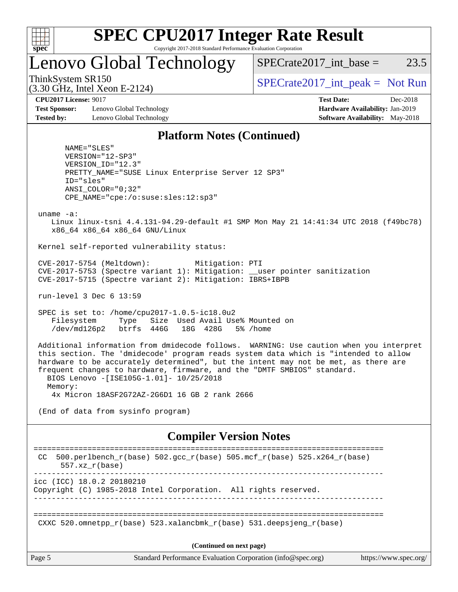

# **[SPEC CPU2017 Integer Rate Result](http://www.spec.org/auto/cpu2017/Docs/result-fields.html#SPECCPU2017IntegerRateResult)**

Copyright 2017-2018 Standard Performance Evaluation Corporation

### Lenovo Global Technology

 $SPECTate2017\_int\_base = 23.5$ 

(3.30 GHz, Intel Xeon E-2124)

ThinkSystem SR150  $SPECrate2017$ \_int\_peak = Not Run

**[CPU2017 License:](http://www.spec.org/auto/cpu2017/Docs/result-fields.html#CPU2017License)** 9017 **[Test Date:](http://www.spec.org/auto/cpu2017/Docs/result-fields.html#TestDate)** Dec-2018

**[Test Sponsor:](http://www.spec.org/auto/cpu2017/Docs/result-fields.html#TestSponsor)** Lenovo Global Technology **[Hardware Availability:](http://www.spec.org/auto/cpu2017/Docs/result-fields.html#HardwareAvailability)** Jan-2019 **[Tested by:](http://www.spec.org/auto/cpu2017/Docs/result-fields.html#Testedby)** Lenovo Global Technology **[Software Availability:](http://www.spec.org/auto/cpu2017/Docs/result-fields.html#SoftwareAvailability)** May-2018

#### **[Platform Notes \(Continued\)](http://www.spec.org/auto/cpu2017/Docs/result-fields.html#PlatformNotes)**

 NAME="SLES" VERSION="12-SP3" VERSION\_ID="12.3" PRETTY\_NAME="SUSE Linux Enterprise Server 12 SP3" ID="sles" ANSI\_COLOR="0;32" CPE\_NAME="cpe:/o:suse:sles:12:sp3"

uname -a:

 Linux linux-tsni 4.4.131-94.29-default #1 SMP Mon May 21 14:41:34 UTC 2018 (f49bc78) x86\_64 x86\_64 x86\_64 GNU/Linux

Kernel self-reported vulnerability status:

 CVE-2017-5754 (Meltdown): Mitigation: PTI CVE-2017-5753 (Spectre variant 1): Mitigation: \_\_user pointer sanitization CVE-2017-5715 (Spectre variant 2): Mitigation: IBRS+IBPB

run-level 3 Dec 6 13:59

 SPEC is set to: /home/cpu2017-1.0.5-ic18.0u2 Filesystem Type Size Used Avail Use% Mounted on /dev/md126p2 btrfs 446G 18G 428G 5% /home

 Additional information from dmidecode follows. WARNING: Use caution when you interpret this section. The 'dmidecode' program reads system data which is "intended to allow hardware to be accurately determined", but the intent may not be met, as there are frequent changes to hardware, firmware, and the "DMTF SMBIOS" standard. BIOS Lenovo -[ISE105G-1.01]- 10/25/2018 Memory: 4x Micron 18ASF2G72AZ-2G6D1 16 GB 2 rank 2666

(End of data from sysinfo program)

### **[Compiler Version Notes](http://www.spec.org/auto/cpu2017/Docs/result-fields.html#CompilerVersionNotes)**

| 500.perlbench_r(base) 502.gcc_r(base) 505.mcf_r(base) 525.x264_r(base)<br>CC<br>$557.xx$ $r(base)$ |  |  |  |  |  |  |  |
|----------------------------------------------------------------------------------------------------|--|--|--|--|--|--|--|
| icc (ICC) 18.0.2 20180210<br>Copyright (C) 1985-2018 Intel Corporation. All rights reserved.       |  |  |  |  |  |  |  |
| CXXC 520.omnetpp $r(base)$ 523.xalancbmk $r(base)$ 531.deepsjeng $r(base)$                         |  |  |  |  |  |  |  |
| (Continued on next page)                                                                           |  |  |  |  |  |  |  |

Page 5 Standard Performance Evaluation Corporation [\(info@spec.org\)](mailto:info@spec.org) <https://www.spec.org/>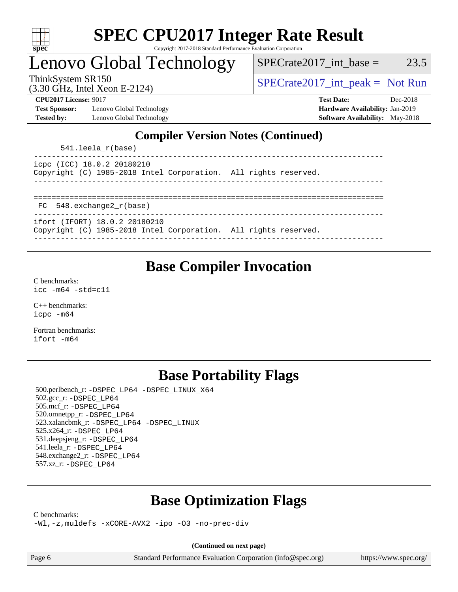

### Lenovo Global Technology

 $SPECTate2017\_int\_base = 23.5$ 

(3.30 GHz, Intel Xeon E-2124)

ThinkSystem SR150<br>  $SPECTI<sub>2</sub>124$ <br>  $SPECTI<sub>2</sub>124$ <br>  $SPECTI<sub>2</sub>124$ <br>  $SPECTI<sub>2</sub>124$ 

**[Test Sponsor:](http://www.spec.org/auto/cpu2017/Docs/result-fields.html#TestSponsor)** Lenovo Global Technology **[Hardware Availability:](http://www.spec.org/auto/cpu2017/Docs/result-fields.html#HardwareAvailability)** Jan-2019 **[Tested by:](http://www.spec.org/auto/cpu2017/Docs/result-fields.html#Testedby)** Lenovo Global Technology **[Software Availability:](http://www.spec.org/auto/cpu2017/Docs/result-fields.html#SoftwareAvailability)** May-2018

**[CPU2017 License:](http://www.spec.org/auto/cpu2017/Docs/result-fields.html#CPU2017License)** 9017 **[Test Date:](http://www.spec.org/auto/cpu2017/Docs/result-fields.html#TestDate)** Dec-2018

### **[Compiler Version Notes \(Continued\)](http://www.spec.org/auto/cpu2017/Docs/result-fields.html#CompilerVersionNotes)**

541.leela\_r(base)

| icpc (ICC) 18.0.2 20180210 |                                                                 |  |  |
|----------------------------|-----------------------------------------------------------------|--|--|
|                            | Copyright (C) 1985-2018 Intel Corporation. All rights reserved. |  |  |
|                            |                                                                 |  |  |

============================================================================== FC 548.exchange2\_r(base)

------------------------------------------------------------------------------

ifort (IFORT) 18.0.2 20180210

Copyright (C) 1985-2018 Intel Corporation. All rights reserved. ------------------------------------------------------------------------------

### **[Base Compiler Invocation](http://www.spec.org/auto/cpu2017/Docs/result-fields.html#BaseCompilerInvocation)**

[C benchmarks](http://www.spec.org/auto/cpu2017/Docs/result-fields.html#Cbenchmarks): [icc -m64 -std=c11](http://www.spec.org/cpu2017/results/res2018q4/cpu2017-20181210-10102.flags.html#user_CCbase_intel_icc_64bit_c11_33ee0cdaae7deeeab2a9725423ba97205ce30f63b9926c2519791662299b76a0318f32ddfffdc46587804de3178b4f9328c46fa7c2b0cd779d7a61945c91cd35)

[C++ benchmarks:](http://www.spec.org/auto/cpu2017/Docs/result-fields.html#CXXbenchmarks) [icpc -m64](http://www.spec.org/cpu2017/results/res2018q4/cpu2017-20181210-10102.flags.html#user_CXXbase_intel_icpc_64bit_4ecb2543ae3f1412ef961e0650ca070fec7b7afdcd6ed48761b84423119d1bf6bdf5cad15b44d48e7256388bc77273b966e5eb805aefd121eb22e9299b2ec9d9)

[Fortran benchmarks](http://www.spec.org/auto/cpu2017/Docs/result-fields.html#Fortranbenchmarks): [ifort -m64](http://www.spec.org/cpu2017/results/res2018q4/cpu2017-20181210-10102.flags.html#user_FCbase_intel_ifort_64bit_24f2bb282fbaeffd6157abe4f878425411749daecae9a33200eee2bee2fe76f3b89351d69a8130dd5949958ce389cf37ff59a95e7a40d588e8d3a57e0c3fd751)

### **[Base Portability Flags](http://www.spec.org/auto/cpu2017/Docs/result-fields.html#BasePortabilityFlags)**

 500.perlbench\_r: [-DSPEC\\_LP64](http://www.spec.org/cpu2017/results/res2018q4/cpu2017-20181210-10102.flags.html#b500.perlbench_r_basePORTABILITY_DSPEC_LP64) [-DSPEC\\_LINUX\\_X64](http://www.spec.org/cpu2017/results/res2018q4/cpu2017-20181210-10102.flags.html#b500.perlbench_r_baseCPORTABILITY_DSPEC_LINUX_X64) 502.gcc\_r: [-DSPEC\\_LP64](http://www.spec.org/cpu2017/results/res2018q4/cpu2017-20181210-10102.flags.html#suite_basePORTABILITY502_gcc_r_DSPEC_LP64) 505.mcf\_r: [-DSPEC\\_LP64](http://www.spec.org/cpu2017/results/res2018q4/cpu2017-20181210-10102.flags.html#suite_basePORTABILITY505_mcf_r_DSPEC_LP64) 520.omnetpp\_r: [-DSPEC\\_LP64](http://www.spec.org/cpu2017/results/res2018q4/cpu2017-20181210-10102.flags.html#suite_basePORTABILITY520_omnetpp_r_DSPEC_LP64) 523.xalancbmk\_r: [-DSPEC\\_LP64](http://www.spec.org/cpu2017/results/res2018q4/cpu2017-20181210-10102.flags.html#suite_basePORTABILITY523_xalancbmk_r_DSPEC_LP64) [-DSPEC\\_LINUX](http://www.spec.org/cpu2017/results/res2018q4/cpu2017-20181210-10102.flags.html#b523.xalancbmk_r_baseCXXPORTABILITY_DSPEC_LINUX) 525.x264\_r: [-DSPEC\\_LP64](http://www.spec.org/cpu2017/results/res2018q4/cpu2017-20181210-10102.flags.html#suite_basePORTABILITY525_x264_r_DSPEC_LP64) 531.deepsjeng\_r: [-DSPEC\\_LP64](http://www.spec.org/cpu2017/results/res2018q4/cpu2017-20181210-10102.flags.html#suite_basePORTABILITY531_deepsjeng_r_DSPEC_LP64) 541.leela\_r: [-DSPEC\\_LP64](http://www.spec.org/cpu2017/results/res2018q4/cpu2017-20181210-10102.flags.html#suite_basePORTABILITY541_leela_r_DSPEC_LP64) 548.exchange2\_r: [-DSPEC\\_LP64](http://www.spec.org/cpu2017/results/res2018q4/cpu2017-20181210-10102.flags.html#suite_basePORTABILITY548_exchange2_r_DSPEC_LP64) 557.xz\_r: [-DSPEC\\_LP64](http://www.spec.org/cpu2017/results/res2018q4/cpu2017-20181210-10102.flags.html#suite_basePORTABILITY557_xz_r_DSPEC_LP64)

### **[Base Optimization Flags](http://www.spec.org/auto/cpu2017/Docs/result-fields.html#BaseOptimizationFlags)**

[C benchmarks](http://www.spec.org/auto/cpu2017/Docs/result-fields.html#Cbenchmarks):

[-Wl,-z,muldefs](http://www.spec.org/cpu2017/results/res2018q4/cpu2017-20181210-10102.flags.html#user_CCbase_link_force_multiple1_b4cbdb97b34bdee9ceefcfe54f4c8ea74255f0b02a4b23e853cdb0e18eb4525ac79b5a88067c842dd0ee6996c24547a27a4b99331201badda8798ef8a743f577) [-xCORE-AVX2](http://www.spec.org/cpu2017/results/res2018q4/cpu2017-20181210-10102.flags.html#user_CCbase_f-xCORE-AVX2) [-ipo](http://www.spec.org/cpu2017/results/res2018q4/cpu2017-20181210-10102.flags.html#user_CCbase_f-ipo) [-O3](http://www.spec.org/cpu2017/results/res2018q4/cpu2017-20181210-10102.flags.html#user_CCbase_f-O3) [-no-prec-div](http://www.spec.org/cpu2017/results/res2018q4/cpu2017-20181210-10102.flags.html#user_CCbase_f-no-prec-div)

**(Continued on next page)**

Page 6 Standard Performance Evaluation Corporation [\(info@spec.org\)](mailto:info@spec.org) <https://www.spec.org/>